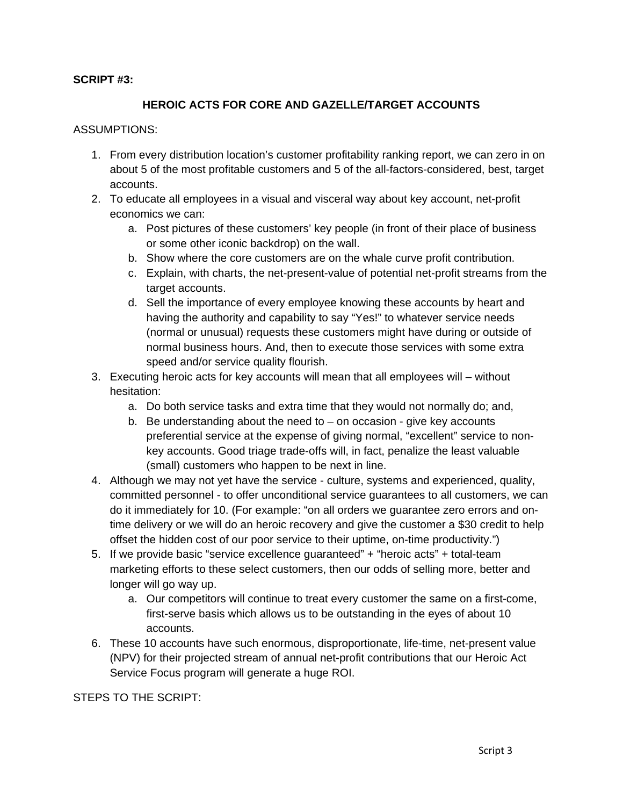## **SCRIPT #3:**

## **HEROIC ACTS FOR CORE AND GAZELLE/TARGET ACCOUNTS**

## ASSUMPTIONS:

- 1. From every distribution location's customer profitability ranking report, we can zero in on about 5 of the most profitable customers and 5 of the all-factors-considered, best, target accounts.
- 2. To educate all employees in a visual and visceral way about key account, net-profit economics we can:
	- a. Post pictures of these customers' key people (in front of their place of business or some other iconic backdrop) on the wall.
	- b. Show where the core customers are on the whale curve profit contribution.
	- c. Explain, with charts, the net-present-value of potential net-profit streams from the target accounts.
	- d. Sell the importance of every employee knowing these accounts by heart and having the authority and capability to say "Yes!" to whatever service needs (normal or unusual) requests these customers might have during or outside of normal business hours. And, then to execute those services with some extra speed and/or service quality flourish.
- 3. Executing heroic acts for key accounts will mean that all employees will without hesitation:
	- a. Do both service tasks and extra time that they would not normally do; and,
	- b. Be understanding about the need to  $-$  on occasion give key accounts preferential service at the expense of giving normal, "excellent" service to nonkey accounts. Good triage trade-offs will, in fact, penalize the least valuable (small) customers who happen to be next in line.
- 4. Although we may not yet have the service culture, systems and experienced, quality, committed personnel - to offer unconditional service guarantees to all customers, we can do it immediately for 10. (For example: "on all orders we guarantee zero errors and ontime delivery or we will do an heroic recovery and give the customer a \$30 credit to help offset the hidden cost of our poor service to their uptime, on-time productivity.")
- 5. If we provide basic "service excellence guaranteed" + "heroic acts" + total-team marketing efforts to these select customers, then our odds of selling more, better and longer will go way up.
	- a. Our competitors will continue to treat every customer the same on a first-come, first-serve basis which allows us to be outstanding in the eyes of about 10 accounts.
- 6. These 10 accounts have such enormous, disproportionate, life-time, net-present value (NPV) for their projected stream of annual net-profit contributions that our Heroic Act Service Focus program will generate a huge ROI.

STEPS TO THE SCRIPT: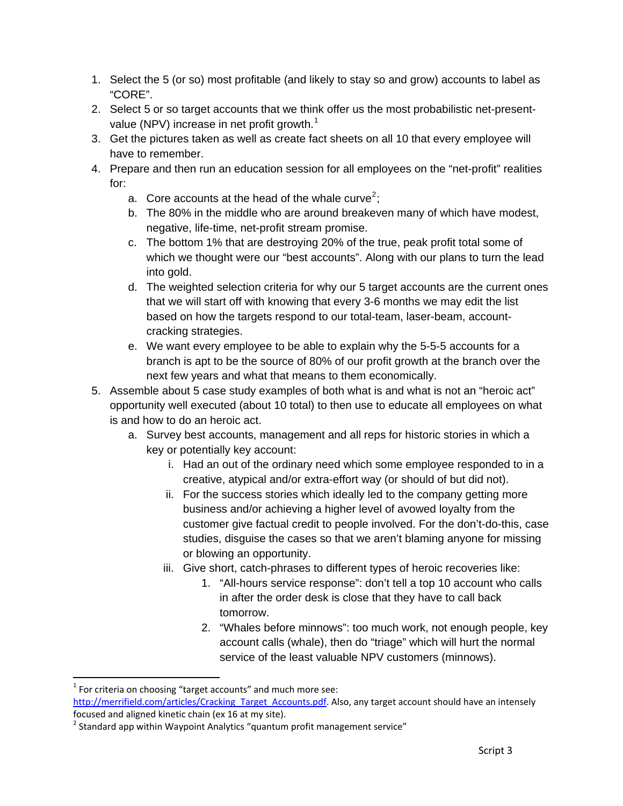- 1. Select the 5 (or so) most profitable (and likely to stay so and grow) accounts to label as "CORE".
- 2. Select 5 or so target accounts that we think offer us the most probabilistic net-present-value (NPV) increase in net profit growth.<sup>[1](#page-1-0)</sup>
- 3. Get the pictures taken as well as create fact sheets on all 10 that every employee will have to remember.
- 4. Prepare and then run an education session for all employees on the "net-profit" realities for:
	- a. Core accounts at the head of the whale curve<sup>[2](#page-1-1)</sup>;
	- b. The 80% in the middle who are around breakeven many of which have modest, negative, life-time, net-profit stream promise.
	- c. The bottom 1% that are destroying 20% of the true, peak profit total some of which we thought were our "best accounts". Along with our plans to turn the lead into gold.
	- d. The weighted selection criteria for why our 5 target accounts are the current ones that we will start off with knowing that every 3-6 months we may edit the list based on how the targets respond to our total-team, laser-beam, accountcracking strategies.
	- e. We want every employee to be able to explain why the 5-5-5 accounts for a branch is apt to be the source of 80% of our profit growth at the branch over the next few years and what that means to them economically.
- 5. Assemble about 5 case study examples of both what is and what is not an "heroic act" opportunity well executed (about 10 total) to then use to educate all employees on what is and how to do an heroic act.
	- a. Survey best accounts, management and all reps for historic stories in which a key or potentially key account:
		- i. Had an out of the ordinary need which some employee responded to in a creative, atypical and/or extra-effort way (or should of but did not).
		- ii. For the success stories which ideally led to the company getting more business and/or achieving a higher level of avowed loyalty from the customer give factual credit to people involved. For the don't-do-this, case studies, disguise the cases so that we aren't blaming anyone for missing or blowing an opportunity.
		- iii. Give short, catch-phrases to different types of heroic recoveries like:
			- 1. "All-hours service response": don't tell a top 10 account who calls in after the order desk is close that they have to call back tomorrow.
			- 2. "Whales before minnows": too much work, not enough people, key account calls (whale), then do "triage" which will hurt the normal service of the least valuable NPV customers (minnows).

1

<span id="page-1-0"></span> $1$  For criteria on choosing "target accounts" and much more see:

[http://merrifield.com/articles/Cracking\\_Target\\_Accounts.pdf.](http://merrifield.com/articles/Cracking_Target_Accounts.pdf) Also, any target account should have an intensely focused and aligned kinetic chain (ex 16 at my site).

<span id="page-1-1"></span> $^2$  Standard app within Waypoint Analytics "quantum profit management service"